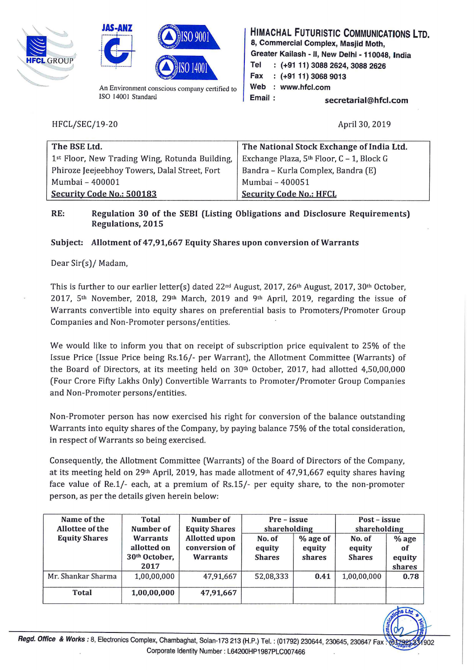





An Environment conscious company certified to ISO 14001 Standard

HFCL/SEC/19-20

HIMACHAL FUTURISTIC COMMUNICATIONS LTD. 8, Commercial Complex, Masjid Moth, Greater Kailash - II, New Delhi - 110048, India Tel : (+91 11) 3088 2624, 3088 2626 Fax (+91 11) 3068 9013 Web : www.hfcl.com Email : secretarial@hfcl.com

April30, 2019

~ . , .

| The BSE Ltd.                                   | The National Stock Exchange of India Ltd. |
|------------------------------------------------|-------------------------------------------|
| 1st Floor, New Trading Wing, Rotunda Building, | Exchange Plaza, 5th Floor, C - 1, Block G |
| Phiroze Jeejeebhoy Towers, Dalal Street, Fort  | Bandra – Kurla Complex, Bandra (E)        |
| Mumbai - 400001                                | Mumbai - 400051                           |
| Security Code No.: 500183                      | <b>Security Code No.: HFCL</b>            |

## RE: Regulation 30 of the SEBI (Listing Obligations and Disclosure Requirements) Regulations, 2015

## Subject: Allotment of 47,91,667 Equity Shares upon conversion of Warrants

## Dear Sir(s)/ Madam,

This is further to our earlier letter(s) dated 22<sup>nd</sup> August, 2017, 26<sup>th</sup> August, 2017, 30<sup>th</sup> October, 2017,  $5<sup>th</sup>$  November, 2018, 29<sup>th</sup> March, 2019 and 9<sup>th</sup> April, 2019, regarding the issue of Warrants convertible into equity shares on preferential basis to Promoters/Promoter Group Companies and Non-Promoter persons/entities.

We would like to inform you that on receipt of subscription price equivalent to 25% of the Issue Price (Issue Price being Rs.l6/- per Warrant), the Allotment Committee (Warrants) of the Board of Directors, at its meeting held on  $30<sup>th</sup>$  October, 2017, had allotted 4,50,00,000 (Four Crore Fifty Lakhs Only) Convertible Warrants to Promoter/Promoter Group Companies and Non-Promoter persons/entities.

Non-Promoter person has now exercised his right for conversion of the balance outstanding Warrants into equity shares of the Company, by paying balance 75% of the total consideration, in respect of Warrants so being exercised.

Consequently, the Allotment Committee (Warrants) of the Board of Directors of the Company, at its meeting held on 29<sup>th</sup> April, 2019, has made allotment of 47,91,667 equity shares having face value of Re.l/- each, at a premium of Rs.lS/- per equity share, to the non-promoter person, as per the details given herein below:

| Name of the<br>Allottee of the | <b>Total</b><br>Number of                        | Number of<br><b>Equity Shares</b><br><b>Allotted upon</b><br>conversion of<br><b>Warrants</b> | Pre – issue<br>shareholding       |                                | Post – issue<br>shareholding      |                                   |
|--------------------------------|--------------------------------------------------|-----------------------------------------------------------------------------------------------|-----------------------------------|--------------------------------|-----------------------------------|-----------------------------------|
| <b>Equity Shares</b>           | Warrants<br>allotted on<br>30th October,<br>2017 |                                                                                               | No. of<br>equity<br><b>Shares</b> | $%$ age of<br>equity<br>shares | No. of<br>equity<br><b>Shares</b> | $%$ age<br>of<br>equity<br>shares |
| Mr. Shankar Sharma             | 1,00,00,000                                      | 47,91,667                                                                                     | 52,08,333                         | 0.41                           | 1,00,00,000                       | 0.78                              |
| <b>Total</b>                   | 1,00,00,000                                      | 47,91,667                                                                                     |                                   |                                |                                   |                                   |